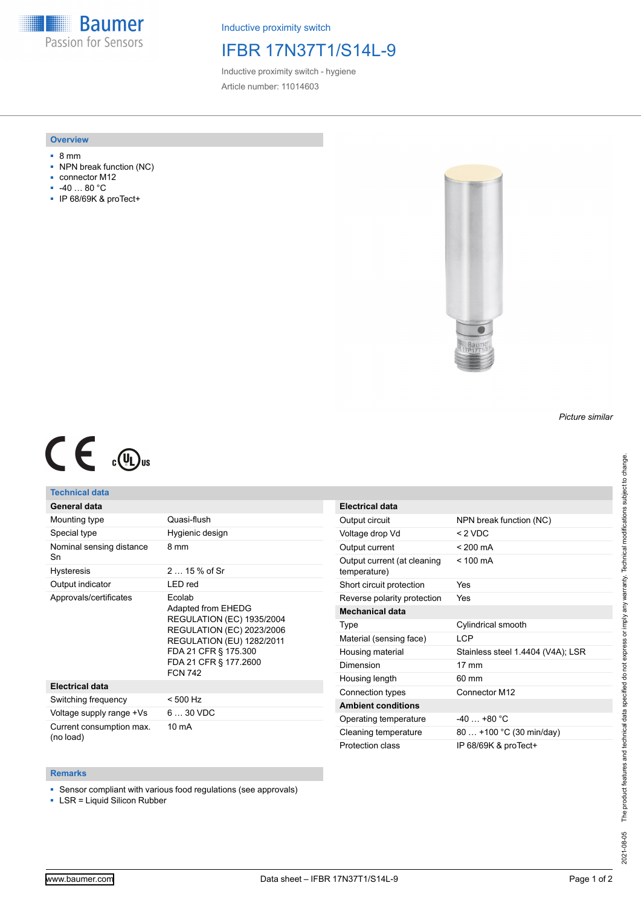**Baumer** Passion for Sensors

Inductive proximity switch

## IFBR 17N37T1/S14L-9

Inductive proximity switch - hygiene Article number: 11014603

### **Overview**

- 8 mm
- NPN break function (NC)
- connector M12
- -40 … 80 °C
- IP 68/69K & proTect+



## *Picture similar*

# $C \in \mathbb{C}$

### **Technical data**

|  | General data |  |
|--|--------------|--|
|  |              |  |

| Mounting type                         | Quasi-flush                                                                                                                                                                                          |  |
|---------------------------------------|------------------------------------------------------------------------------------------------------------------------------------------------------------------------------------------------------|--|
| Special type                          | Hygienic design                                                                                                                                                                                      |  |
| Nominal sensing distance<br>Sn        | 8 mm                                                                                                                                                                                                 |  |
| <b>Hysteresis</b>                     | $215%$ of Sr                                                                                                                                                                                         |  |
| Output indicator                      | LED red                                                                                                                                                                                              |  |
| Approvals/certificates                | Ecolab<br>Adapted from EHEDG<br><b>REGULATION (EC) 1935/2004</b><br><b>REGULATION (EC) 2023/2006</b><br>REGULATION (EU) 1282/2011<br>FDA 21 CFR § 175.300<br>FDA 21 CFR § 177.2600<br><b>FCN 742</b> |  |
| <b>Electrical data</b>                |                                                                                                                                                                                                      |  |
| Switching frequency                   | < 500 Hz                                                                                                                                                                                             |  |
| Voltage supply range +Vs              | $630$ VDC                                                                                                                                                                                            |  |
| Current consumption max.<br>(no load) | 10 mA                                                                                                                                                                                                |  |

| <b>Electrical data</b>                      |                                   |
|---------------------------------------------|-----------------------------------|
| Output circuit                              | NPN break function (NC)           |
| Voltage drop Vd                             | < 2 VDC                           |
| Output current                              | $< 200 \text{ mA}$                |
| Output current (at cleaning<br>temperature) | $< 100 \text{ mA}$                |
| Short circuit protection                    | Yes                               |
| Reverse polarity protection                 | Yes                               |
| <b>Mechanical data</b>                      |                                   |
| Type                                        | Cylindrical smooth                |
| Material (sensing face)                     | I CP                              |
| Housing material                            | Stainless steel 1.4404 (V4A); LSR |
| Dimension                                   | $17 \text{ mm}$                   |
| Housing length                              | 60 mm                             |
| Connection types                            | Connector M12                     |
| <b>Ambient conditions</b>                   |                                   |
| Operating temperature                       | $-40+80 °C$                       |
| Cleaning temperature                        | 80  +100 °C (30 min/day)          |
| Protection class                            | IP 68/69K & proTect+              |

#### **Remarks**

■ Sensor compliant with various food regulations (see approvals)

■ LSR = Liquid Silicon Rubber